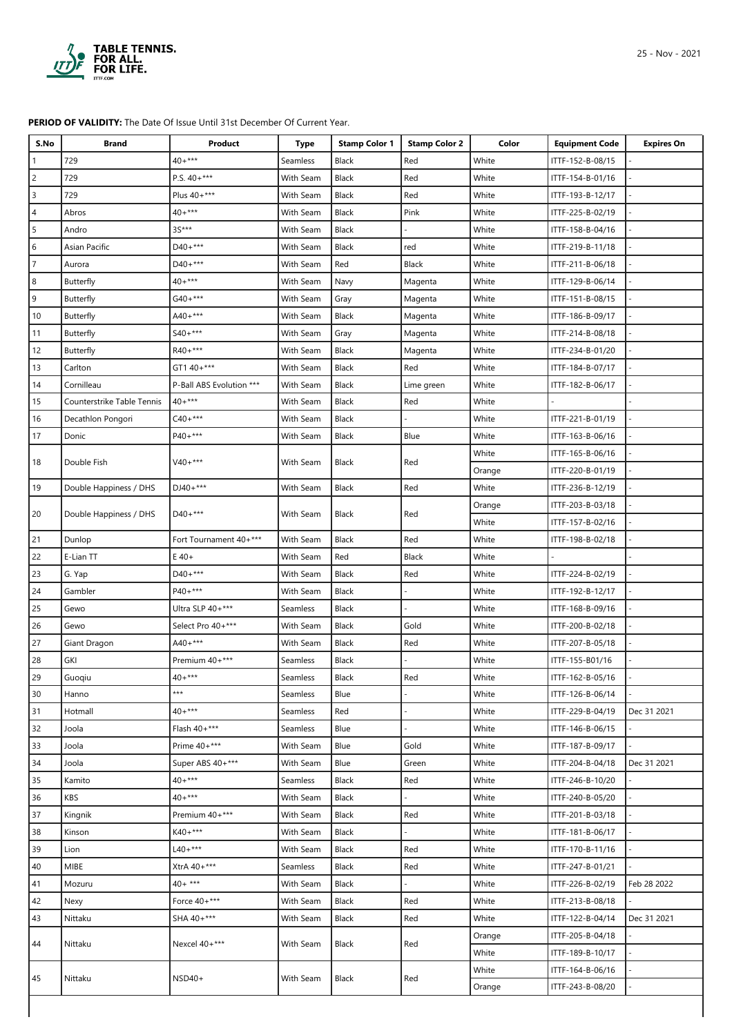

## **PERIOD OF VALIDITY:** The Date Of Issue Until 31st December Of Current Year.

| $40+***$<br>729<br>White<br>ITTF-152-B-08/15<br><b>Black</b><br>Red<br>Seamless<br>P.S. $40+***$<br>729<br>Black<br>White<br>2<br>With Seam<br>Red<br>ITTF-154-B-01/16<br>729<br>Plus 40+***<br>3<br>With Seam<br>Black<br>Red<br>White<br>ITTF-193-B-12/17<br>$40+***$<br>Black<br>Pink<br>White<br>Abros<br>With Seam<br>ITTF-225-B-02/19<br>4<br>3S***<br>5<br>Black<br>White<br>Andro<br>With Seam<br>ITTF-158-B-04/16<br>D40+***<br>Asian Pacific<br>Black<br>White<br>6<br>With Seam<br>red<br>ITTF-219-B-11/18<br>$D40+***$<br>With Seam<br>Red<br>Black<br>White<br>Aurora<br>ITTF-211-B-06/18<br>$40+***$<br>White<br>8<br>Butterfly<br>With Seam<br>ITTF-129-B-06/14<br>Navy<br>Magenta<br>$G40+***$<br>9<br>Butterfly<br>With Seam<br>Magenta<br>White<br>ITTF-151-B-08/15<br>Gray<br>$A40+***$<br>Butterfly<br>Black<br>White<br>10<br>With Seam<br>ITTF-186-B-09/17<br>Magenta<br>$S40+***$<br>White<br>11<br>Butterfly<br>With Seam<br>Gray<br>Magenta<br>ITTF-214-B-08/18<br>12<br>R40+***<br>White<br>Butterfly<br>With Seam<br>Black<br>Magenta<br>ITTF-234-B-01/20<br>GT1 40+***<br>With Seam<br>Black<br>Red<br>White<br>13<br>Carlton<br>ITTF-184-B-07/17<br>14<br>P-Ball ABS Evolution ***<br>Black<br>Cornilleau<br>With Seam<br>White<br>ITTF-182-B-06/17<br>Lime green<br>$40+***$<br>White<br>15<br>Counterstrike Table Tennis<br>With Seam<br>Black<br>Red<br>$C40+***$<br>With Seam<br>Black<br>White<br>ITTF-221-B-01/19<br>16<br>Decathlon Pongori<br>$P40+***$<br>17<br>Black<br>Donic<br>With Seam<br>Blue<br>White<br>ITTF-163-B-06/16<br>White<br>ITTF-165-B-06/16<br>$V40+***$<br>18<br>Double Fish<br>With Seam<br>Black<br>Red<br>ITTF-220-B-01/19<br>Orange<br>$DJ40+***$<br>19<br>Black<br>White<br>Double Happiness / DHS<br>With Seam<br>Red<br>ITTF-236-B-12/19<br>ITTF-203-B-03/18<br>Orange<br>$D40+***$<br>20<br>Double Happiness / DHS<br>With Seam<br>Black<br>Red<br>White<br>ITTF-157-B-02/16<br>Fort Tournament 40+***<br>Black<br>White<br>21<br>Dunlop<br>With Seam<br>Red<br>ITTF-198-B-02/18<br>22<br>White<br>E-Lian TT<br>$E$ 40+<br>With Seam<br>Red<br>Black<br>$D40+***$<br>23<br>With Seam<br>Black<br>Red<br>White<br>ITTF-224-B-02/19<br>G. Yap<br>$P40+***$<br>Black<br>24<br>Gambler<br>With Seam<br>White<br>ITTF-192-B-12/17<br>25<br>Ultra SLP 40+***<br>Gewo<br>Black<br>White<br>ITTF-168-B-09/16<br>Seamless<br>26<br>Select Pro 40+***<br>Gold<br>White<br>Gewo<br>With Seam<br>Black<br>ITTF-200-B-02/18<br>$A40 +***$<br>27<br>Black<br>White<br>Giant Dragon<br>With Seam<br>Red<br>ITTF-207-B-05/18<br>Premium 40+***<br>28<br>White<br>GKI<br>Black<br>ITTF-155-B01/16<br><b>Seamless</b><br>$40+***$<br>29<br>Red<br>White<br>ITTF-162-B-05/16<br>Guoqiu<br>Black<br>Seamless<br>$***$<br>White<br>ITTF-126-B-06/14<br>30<br>Hanno<br>Seamless<br>Blue<br>$40+***$<br>White<br>ITTF-229-B-04/19<br>Dec 31 2021<br>31<br>Hotmall<br><b>Seamless</b><br>Red<br>Flash 40+***<br>32<br>White<br>Joola<br>Seamless<br>ITTF-146-B-06/15<br>Blue<br>Prime 40+***<br>33<br>Joola<br>With Seam<br>Blue<br>Gold<br>White<br>ITTF-187-B-09/17<br>Super ABS 40+***<br>34<br>With Seam<br>Blue<br>Green<br>White<br>ITTF-204-B-04/18<br>Dec 31 2021<br>Joola<br>$40+***$<br>Red<br>35<br>Black<br>White<br>ITTF-246-B-10/20<br>Kamito<br>Seamless<br>$40+***$<br>KBS<br>Black<br>36<br>With Seam<br>White<br>ITTF-240-B-05/20<br>Premium 40+***<br>White<br>ITTF-201-B-03/18<br>37<br>Kingnik<br>With Seam<br>Black<br>Red<br>$K40+***$<br>With Seam<br>38<br>Kinson<br>Black<br>White<br>ITTF-181-B-06/17<br>$L40+***$<br>39<br>Lion<br>With Seam<br>Black<br>Red<br>White<br>ITTF-170-B-11/16<br>XtrA 40+***<br>40<br>MIBE<br>Seamless<br>Black<br>Red<br>White<br>ITTF-247-B-01/21<br>$40+***$<br>41<br>Mozuru<br>With Seam<br>Black<br>White<br>ITTF-226-B-02/19<br>Feb 28 2022<br>Force 40+***<br>Black<br>White<br>42<br>With Seam<br>Red<br>ITTF-213-B-08/18<br>Nexy<br>SHA 40+***<br>43<br>Nittaku<br>With Seam<br>Black<br>Red<br>White<br>ITTF-122-B-04/14<br>Dec 31 2021<br>ITTF-205-B-04/18<br>Orange<br>Nexcel 40+***<br>With Seam<br>Black<br>Red<br>44<br>Nittaku<br>White<br>ITTF-189-B-10/17<br>White<br>ITTF-164-B-06/16<br>Nittaku<br>$NSD40+$<br>With Seam<br><b>Black</b><br>Red<br>45<br>ITTF-243-B-08/20<br>Orange | S.No | <b>Brand</b> | Product | <b>Type</b> | <b>Stamp Color 1</b> | <b>Stamp Color 2</b> | Color | <b>Equipment Code</b> | <b>Expires On</b> |
|----------------------------------------------------------------------------------------------------------------------------------------------------------------------------------------------------------------------------------------------------------------------------------------------------------------------------------------------------------------------------------------------------------------------------------------------------------------------------------------------------------------------------------------------------------------------------------------------------------------------------------------------------------------------------------------------------------------------------------------------------------------------------------------------------------------------------------------------------------------------------------------------------------------------------------------------------------------------------------------------------------------------------------------------------------------------------------------------------------------------------------------------------------------------------------------------------------------------------------------------------------------------------------------------------------------------------------------------------------------------------------------------------------------------------------------------------------------------------------------------------------------------------------------------------------------------------------------------------------------------------------------------------------------------------------------------------------------------------------------------------------------------------------------------------------------------------------------------------------------------------------------------------------------------------------------------------------------------------------------------------------------------------------------------------------------------------------------------------------------------------------------------------------------------------------------------------------------------------------------------------------------------------------------------------------------------------------------------------------------------------------------------------------------------------------------------------------------------------------------------------------------------------------------------------------------------------------------------------------------------------------------------------------------------------------------------------------------------------------------------------------------------------------------------------------------------------------------------------------------------------------------------------------------------------------------------------------------------------------------------------------------------------------------------------------------------------------------------------------------------------------------------------------------------------------------------------------------------------------------------------------------------------------------------------------------------------------------------------------------------------------------------------------------------------------------------------------------------------------------------------------------------------------------------------------------------------------------------------------------------------------------------------------------------------------------------------------------------------------------------------------------------------------------------------------------------------------------------------------------------------------------------------------------------------------------------------------------------------------------------------------------------------------------------------------------------------------------------------------------------------------------------------------------------------------------------------------------------------------------------------------------------------------------------------------|------|--------------|---------|-------------|----------------------|----------------------|-------|-----------------------|-------------------|
|                                                                                                                                                                                                                                                                                                                                                                                                                                                                                                                                                                                                                                                                                                                                                                                                                                                                                                                                                                                                                                                                                                                                                                                                                                                                                                                                                                                                                                                                                                                                                                                                                                                                                                                                                                                                                                                                                                                                                                                                                                                                                                                                                                                                                                                                                                                                                                                                                                                                                                                                                                                                                                                                                                                                                                                                                                                                                                                                                                                                                                                                                                                                                                                                                                                                                                                                                                                                                                                                                                                                                                                                                                                                                                                                                                                                                                                                                                                                                                                                                                                                                                                                                                                                                                                                                                          |      |              |         |             |                      |                      |       |                       |                   |
|                                                                                                                                                                                                                                                                                                                                                                                                                                                                                                                                                                                                                                                                                                                                                                                                                                                                                                                                                                                                                                                                                                                                                                                                                                                                                                                                                                                                                                                                                                                                                                                                                                                                                                                                                                                                                                                                                                                                                                                                                                                                                                                                                                                                                                                                                                                                                                                                                                                                                                                                                                                                                                                                                                                                                                                                                                                                                                                                                                                                                                                                                                                                                                                                                                                                                                                                                                                                                                                                                                                                                                                                                                                                                                                                                                                                                                                                                                                                                                                                                                                                                                                                                                                                                                                                                                          |      |              |         |             |                      |                      |       |                       |                   |
|                                                                                                                                                                                                                                                                                                                                                                                                                                                                                                                                                                                                                                                                                                                                                                                                                                                                                                                                                                                                                                                                                                                                                                                                                                                                                                                                                                                                                                                                                                                                                                                                                                                                                                                                                                                                                                                                                                                                                                                                                                                                                                                                                                                                                                                                                                                                                                                                                                                                                                                                                                                                                                                                                                                                                                                                                                                                                                                                                                                                                                                                                                                                                                                                                                                                                                                                                                                                                                                                                                                                                                                                                                                                                                                                                                                                                                                                                                                                                                                                                                                                                                                                                                                                                                                                                                          |      |              |         |             |                      |                      |       |                       |                   |
|                                                                                                                                                                                                                                                                                                                                                                                                                                                                                                                                                                                                                                                                                                                                                                                                                                                                                                                                                                                                                                                                                                                                                                                                                                                                                                                                                                                                                                                                                                                                                                                                                                                                                                                                                                                                                                                                                                                                                                                                                                                                                                                                                                                                                                                                                                                                                                                                                                                                                                                                                                                                                                                                                                                                                                                                                                                                                                                                                                                                                                                                                                                                                                                                                                                                                                                                                                                                                                                                                                                                                                                                                                                                                                                                                                                                                                                                                                                                                                                                                                                                                                                                                                                                                                                                                                          |      |              |         |             |                      |                      |       |                       |                   |
|                                                                                                                                                                                                                                                                                                                                                                                                                                                                                                                                                                                                                                                                                                                                                                                                                                                                                                                                                                                                                                                                                                                                                                                                                                                                                                                                                                                                                                                                                                                                                                                                                                                                                                                                                                                                                                                                                                                                                                                                                                                                                                                                                                                                                                                                                                                                                                                                                                                                                                                                                                                                                                                                                                                                                                                                                                                                                                                                                                                                                                                                                                                                                                                                                                                                                                                                                                                                                                                                                                                                                                                                                                                                                                                                                                                                                                                                                                                                                                                                                                                                                                                                                                                                                                                                                                          |      |              |         |             |                      |                      |       |                       |                   |
|                                                                                                                                                                                                                                                                                                                                                                                                                                                                                                                                                                                                                                                                                                                                                                                                                                                                                                                                                                                                                                                                                                                                                                                                                                                                                                                                                                                                                                                                                                                                                                                                                                                                                                                                                                                                                                                                                                                                                                                                                                                                                                                                                                                                                                                                                                                                                                                                                                                                                                                                                                                                                                                                                                                                                                                                                                                                                                                                                                                                                                                                                                                                                                                                                                                                                                                                                                                                                                                                                                                                                                                                                                                                                                                                                                                                                                                                                                                                                                                                                                                                                                                                                                                                                                                                                                          |      |              |         |             |                      |                      |       |                       |                   |
|                                                                                                                                                                                                                                                                                                                                                                                                                                                                                                                                                                                                                                                                                                                                                                                                                                                                                                                                                                                                                                                                                                                                                                                                                                                                                                                                                                                                                                                                                                                                                                                                                                                                                                                                                                                                                                                                                                                                                                                                                                                                                                                                                                                                                                                                                                                                                                                                                                                                                                                                                                                                                                                                                                                                                                                                                                                                                                                                                                                                                                                                                                                                                                                                                                                                                                                                                                                                                                                                                                                                                                                                                                                                                                                                                                                                                                                                                                                                                                                                                                                                                                                                                                                                                                                                                                          |      |              |         |             |                      |                      |       |                       |                   |
|                                                                                                                                                                                                                                                                                                                                                                                                                                                                                                                                                                                                                                                                                                                                                                                                                                                                                                                                                                                                                                                                                                                                                                                                                                                                                                                                                                                                                                                                                                                                                                                                                                                                                                                                                                                                                                                                                                                                                                                                                                                                                                                                                                                                                                                                                                                                                                                                                                                                                                                                                                                                                                                                                                                                                                                                                                                                                                                                                                                                                                                                                                                                                                                                                                                                                                                                                                                                                                                                                                                                                                                                                                                                                                                                                                                                                                                                                                                                                                                                                                                                                                                                                                                                                                                                                                          |      |              |         |             |                      |                      |       |                       |                   |
|                                                                                                                                                                                                                                                                                                                                                                                                                                                                                                                                                                                                                                                                                                                                                                                                                                                                                                                                                                                                                                                                                                                                                                                                                                                                                                                                                                                                                                                                                                                                                                                                                                                                                                                                                                                                                                                                                                                                                                                                                                                                                                                                                                                                                                                                                                                                                                                                                                                                                                                                                                                                                                                                                                                                                                                                                                                                                                                                                                                                                                                                                                                                                                                                                                                                                                                                                                                                                                                                                                                                                                                                                                                                                                                                                                                                                                                                                                                                                                                                                                                                                                                                                                                                                                                                                                          |      |              |         |             |                      |                      |       |                       |                   |
|                                                                                                                                                                                                                                                                                                                                                                                                                                                                                                                                                                                                                                                                                                                                                                                                                                                                                                                                                                                                                                                                                                                                                                                                                                                                                                                                                                                                                                                                                                                                                                                                                                                                                                                                                                                                                                                                                                                                                                                                                                                                                                                                                                                                                                                                                                                                                                                                                                                                                                                                                                                                                                                                                                                                                                                                                                                                                                                                                                                                                                                                                                                                                                                                                                                                                                                                                                                                                                                                                                                                                                                                                                                                                                                                                                                                                                                                                                                                                                                                                                                                                                                                                                                                                                                                                                          |      |              |         |             |                      |                      |       |                       |                   |
|                                                                                                                                                                                                                                                                                                                                                                                                                                                                                                                                                                                                                                                                                                                                                                                                                                                                                                                                                                                                                                                                                                                                                                                                                                                                                                                                                                                                                                                                                                                                                                                                                                                                                                                                                                                                                                                                                                                                                                                                                                                                                                                                                                                                                                                                                                                                                                                                                                                                                                                                                                                                                                                                                                                                                                                                                                                                                                                                                                                                                                                                                                                                                                                                                                                                                                                                                                                                                                                                                                                                                                                                                                                                                                                                                                                                                                                                                                                                                                                                                                                                                                                                                                                                                                                                                                          |      |              |         |             |                      |                      |       |                       |                   |
|                                                                                                                                                                                                                                                                                                                                                                                                                                                                                                                                                                                                                                                                                                                                                                                                                                                                                                                                                                                                                                                                                                                                                                                                                                                                                                                                                                                                                                                                                                                                                                                                                                                                                                                                                                                                                                                                                                                                                                                                                                                                                                                                                                                                                                                                                                                                                                                                                                                                                                                                                                                                                                                                                                                                                                                                                                                                                                                                                                                                                                                                                                                                                                                                                                                                                                                                                                                                                                                                                                                                                                                                                                                                                                                                                                                                                                                                                                                                                                                                                                                                                                                                                                                                                                                                                                          |      |              |         |             |                      |                      |       |                       |                   |
|                                                                                                                                                                                                                                                                                                                                                                                                                                                                                                                                                                                                                                                                                                                                                                                                                                                                                                                                                                                                                                                                                                                                                                                                                                                                                                                                                                                                                                                                                                                                                                                                                                                                                                                                                                                                                                                                                                                                                                                                                                                                                                                                                                                                                                                                                                                                                                                                                                                                                                                                                                                                                                                                                                                                                                                                                                                                                                                                                                                                                                                                                                                                                                                                                                                                                                                                                                                                                                                                                                                                                                                                                                                                                                                                                                                                                                                                                                                                                                                                                                                                                                                                                                                                                                                                                                          |      |              |         |             |                      |                      |       |                       |                   |
|                                                                                                                                                                                                                                                                                                                                                                                                                                                                                                                                                                                                                                                                                                                                                                                                                                                                                                                                                                                                                                                                                                                                                                                                                                                                                                                                                                                                                                                                                                                                                                                                                                                                                                                                                                                                                                                                                                                                                                                                                                                                                                                                                                                                                                                                                                                                                                                                                                                                                                                                                                                                                                                                                                                                                                                                                                                                                                                                                                                                                                                                                                                                                                                                                                                                                                                                                                                                                                                                                                                                                                                                                                                                                                                                                                                                                                                                                                                                                                                                                                                                                                                                                                                                                                                                                                          |      |              |         |             |                      |                      |       |                       |                   |
|                                                                                                                                                                                                                                                                                                                                                                                                                                                                                                                                                                                                                                                                                                                                                                                                                                                                                                                                                                                                                                                                                                                                                                                                                                                                                                                                                                                                                                                                                                                                                                                                                                                                                                                                                                                                                                                                                                                                                                                                                                                                                                                                                                                                                                                                                                                                                                                                                                                                                                                                                                                                                                                                                                                                                                                                                                                                                                                                                                                                                                                                                                                                                                                                                                                                                                                                                                                                                                                                                                                                                                                                                                                                                                                                                                                                                                                                                                                                                                                                                                                                                                                                                                                                                                                                                                          |      |              |         |             |                      |                      |       |                       |                   |
|                                                                                                                                                                                                                                                                                                                                                                                                                                                                                                                                                                                                                                                                                                                                                                                                                                                                                                                                                                                                                                                                                                                                                                                                                                                                                                                                                                                                                                                                                                                                                                                                                                                                                                                                                                                                                                                                                                                                                                                                                                                                                                                                                                                                                                                                                                                                                                                                                                                                                                                                                                                                                                                                                                                                                                                                                                                                                                                                                                                                                                                                                                                                                                                                                                                                                                                                                                                                                                                                                                                                                                                                                                                                                                                                                                                                                                                                                                                                                                                                                                                                                                                                                                                                                                                                                                          |      |              |         |             |                      |                      |       |                       |                   |
|                                                                                                                                                                                                                                                                                                                                                                                                                                                                                                                                                                                                                                                                                                                                                                                                                                                                                                                                                                                                                                                                                                                                                                                                                                                                                                                                                                                                                                                                                                                                                                                                                                                                                                                                                                                                                                                                                                                                                                                                                                                                                                                                                                                                                                                                                                                                                                                                                                                                                                                                                                                                                                                                                                                                                                                                                                                                                                                                                                                                                                                                                                                                                                                                                                                                                                                                                                                                                                                                                                                                                                                                                                                                                                                                                                                                                                                                                                                                                                                                                                                                                                                                                                                                                                                                                                          |      |              |         |             |                      |                      |       |                       |                   |
|                                                                                                                                                                                                                                                                                                                                                                                                                                                                                                                                                                                                                                                                                                                                                                                                                                                                                                                                                                                                                                                                                                                                                                                                                                                                                                                                                                                                                                                                                                                                                                                                                                                                                                                                                                                                                                                                                                                                                                                                                                                                                                                                                                                                                                                                                                                                                                                                                                                                                                                                                                                                                                                                                                                                                                                                                                                                                                                                                                                                                                                                                                                                                                                                                                                                                                                                                                                                                                                                                                                                                                                                                                                                                                                                                                                                                                                                                                                                                                                                                                                                                                                                                                                                                                                                                                          |      |              |         |             |                      |                      |       |                       |                   |
|                                                                                                                                                                                                                                                                                                                                                                                                                                                                                                                                                                                                                                                                                                                                                                                                                                                                                                                                                                                                                                                                                                                                                                                                                                                                                                                                                                                                                                                                                                                                                                                                                                                                                                                                                                                                                                                                                                                                                                                                                                                                                                                                                                                                                                                                                                                                                                                                                                                                                                                                                                                                                                                                                                                                                                                                                                                                                                                                                                                                                                                                                                                                                                                                                                                                                                                                                                                                                                                                                                                                                                                                                                                                                                                                                                                                                                                                                                                                                                                                                                                                                                                                                                                                                                                                                                          |      |              |         |             |                      |                      |       |                       |                   |
|                                                                                                                                                                                                                                                                                                                                                                                                                                                                                                                                                                                                                                                                                                                                                                                                                                                                                                                                                                                                                                                                                                                                                                                                                                                                                                                                                                                                                                                                                                                                                                                                                                                                                                                                                                                                                                                                                                                                                                                                                                                                                                                                                                                                                                                                                                                                                                                                                                                                                                                                                                                                                                                                                                                                                                                                                                                                                                                                                                                                                                                                                                                                                                                                                                                                                                                                                                                                                                                                                                                                                                                                                                                                                                                                                                                                                                                                                                                                                                                                                                                                                                                                                                                                                                                                                                          |      |              |         |             |                      |                      |       |                       |                   |
|                                                                                                                                                                                                                                                                                                                                                                                                                                                                                                                                                                                                                                                                                                                                                                                                                                                                                                                                                                                                                                                                                                                                                                                                                                                                                                                                                                                                                                                                                                                                                                                                                                                                                                                                                                                                                                                                                                                                                                                                                                                                                                                                                                                                                                                                                                                                                                                                                                                                                                                                                                                                                                                                                                                                                                                                                                                                                                                                                                                                                                                                                                                                                                                                                                                                                                                                                                                                                                                                                                                                                                                                                                                                                                                                                                                                                                                                                                                                                                                                                                                                                                                                                                                                                                                                                                          |      |              |         |             |                      |                      |       |                       |                   |
|                                                                                                                                                                                                                                                                                                                                                                                                                                                                                                                                                                                                                                                                                                                                                                                                                                                                                                                                                                                                                                                                                                                                                                                                                                                                                                                                                                                                                                                                                                                                                                                                                                                                                                                                                                                                                                                                                                                                                                                                                                                                                                                                                                                                                                                                                                                                                                                                                                                                                                                                                                                                                                                                                                                                                                                                                                                                                                                                                                                                                                                                                                                                                                                                                                                                                                                                                                                                                                                                                                                                                                                                                                                                                                                                                                                                                                                                                                                                                                                                                                                                                                                                                                                                                                                                                                          |      |              |         |             |                      |                      |       |                       |                   |
|                                                                                                                                                                                                                                                                                                                                                                                                                                                                                                                                                                                                                                                                                                                                                                                                                                                                                                                                                                                                                                                                                                                                                                                                                                                                                                                                                                                                                                                                                                                                                                                                                                                                                                                                                                                                                                                                                                                                                                                                                                                                                                                                                                                                                                                                                                                                                                                                                                                                                                                                                                                                                                                                                                                                                                                                                                                                                                                                                                                                                                                                                                                                                                                                                                                                                                                                                                                                                                                                                                                                                                                                                                                                                                                                                                                                                                                                                                                                                                                                                                                                                                                                                                                                                                                                                                          |      |              |         |             |                      |                      |       |                       |                   |
|                                                                                                                                                                                                                                                                                                                                                                                                                                                                                                                                                                                                                                                                                                                                                                                                                                                                                                                                                                                                                                                                                                                                                                                                                                                                                                                                                                                                                                                                                                                                                                                                                                                                                                                                                                                                                                                                                                                                                                                                                                                                                                                                                                                                                                                                                                                                                                                                                                                                                                                                                                                                                                                                                                                                                                                                                                                                                                                                                                                                                                                                                                                                                                                                                                                                                                                                                                                                                                                                                                                                                                                                                                                                                                                                                                                                                                                                                                                                                                                                                                                                                                                                                                                                                                                                                                          |      |              |         |             |                      |                      |       |                       |                   |
|                                                                                                                                                                                                                                                                                                                                                                                                                                                                                                                                                                                                                                                                                                                                                                                                                                                                                                                                                                                                                                                                                                                                                                                                                                                                                                                                                                                                                                                                                                                                                                                                                                                                                                                                                                                                                                                                                                                                                                                                                                                                                                                                                                                                                                                                                                                                                                                                                                                                                                                                                                                                                                                                                                                                                                                                                                                                                                                                                                                                                                                                                                                                                                                                                                                                                                                                                                                                                                                                                                                                                                                                                                                                                                                                                                                                                                                                                                                                                                                                                                                                                                                                                                                                                                                                                                          |      |              |         |             |                      |                      |       |                       |                   |
|                                                                                                                                                                                                                                                                                                                                                                                                                                                                                                                                                                                                                                                                                                                                                                                                                                                                                                                                                                                                                                                                                                                                                                                                                                                                                                                                                                                                                                                                                                                                                                                                                                                                                                                                                                                                                                                                                                                                                                                                                                                                                                                                                                                                                                                                                                                                                                                                                                                                                                                                                                                                                                                                                                                                                                                                                                                                                                                                                                                                                                                                                                                                                                                                                                                                                                                                                                                                                                                                                                                                                                                                                                                                                                                                                                                                                                                                                                                                                                                                                                                                                                                                                                                                                                                                                                          |      |              |         |             |                      |                      |       |                       |                   |
|                                                                                                                                                                                                                                                                                                                                                                                                                                                                                                                                                                                                                                                                                                                                                                                                                                                                                                                                                                                                                                                                                                                                                                                                                                                                                                                                                                                                                                                                                                                                                                                                                                                                                                                                                                                                                                                                                                                                                                                                                                                                                                                                                                                                                                                                                                                                                                                                                                                                                                                                                                                                                                                                                                                                                                                                                                                                                                                                                                                                                                                                                                                                                                                                                                                                                                                                                                                                                                                                                                                                                                                                                                                                                                                                                                                                                                                                                                                                                                                                                                                                                                                                                                                                                                                                                                          |      |              |         |             |                      |                      |       |                       |                   |
|                                                                                                                                                                                                                                                                                                                                                                                                                                                                                                                                                                                                                                                                                                                                                                                                                                                                                                                                                                                                                                                                                                                                                                                                                                                                                                                                                                                                                                                                                                                                                                                                                                                                                                                                                                                                                                                                                                                                                                                                                                                                                                                                                                                                                                                                                                                                                                                                                                                                                                                                                                                                                                                                                                                                                                                                                                                                                                                                                                                                                                                                                                                                                                                                                                                                                                                                                                                                                                                                                                                                                                                                                                                                                                                                                                                                                                                                                                                                                                                                                                                                                                                                                                                                                                                                                                          |      |              |         |             |                      |                      |       |                       |                   |
|                                                                                                                                                                                                                                                                                                                                                                                                                                                                                                                                                                                                                                                                                                                                                                                                                                                                                                                                                                                                                                                                                                                                                                                                                                                                                                                                                                                                                                                                                                                                                                                                                                                                                                                                                                                                                                                                                                                                                                                                                                                                                                                                                                                                                                                                                                                                                                                                                                                                                                                                                                                                                                                                                                                                                                                                                                                                                                                                                                                                                                                                                                                                                                                                                                                                                                                                                                                                                                                                                                                                                                                                                                                                                                                                                                                                                                                                                                                                                                                                                                                                                                                                                                                                                                                                                                          |      |              |         |             |                      |                      |       |                       |                   |
|                                                                                                                                                                                                                                                                                                                                                                                                                                                                                                                                                                                                                                                                                                                                                                                                                                                                                                                                                                                                                                                                                                                                                                                                                                                                                                                                                                                                                                                                                                                                                                                                                                                                                                                                                                                                                                                                                                                                                                                                                                                                                                                                                                                                                                                                                                                                                                                                                                                                                                                                                                                                                                                                                                                                                                                                                                                                                                                                                                                                                                                                                                                                                                                                                                                                                                                                                                                                                                                                                                                                                                                                                                                                                                                                                                                                                                                                                                                                                                                                                                                                                                                                                                                                                                                                                                          |      |              |         |             |                      |                      |       |                       |                   |
|                                                                                                                                                                                                                                                                                                                                                                                                                                                                                                                                                                                                                                                                                                                                                                                                                                                                                                                                                                                                                                                                                                                                                                                                                                                                                                                                                                                                                                                                                                                                                                                                                                                                                                                                                                                                                                                                                                                                                                                                                                                                                                                                                                                                                                                                                                                                                                                                                                                                                                                                                                                                                                                                                                                                                                                                                                                                                                                                                                                                                                                                                                                                                                                                                                                                                                                                                                                                                                                                                                                                                                                                                                                                                                                                                                                                                                                                                                                                                                                                                                                                                                                                                                                                                                                                                                          |      |              |         |             |                      |                      |       |                       |                   |
|                                                                                                                                                                                                                                                                                                                                                                                                                                                                                                                                                                                                                                                                                                                                                                                                                                                                                                                                                                                                                                                                                                                                                                                                                                                                                                                                                                                                                                                                                                                                                                                                                                                                                                                                                                                                                                                                                                                                                                                                                                                                                                                                                                                                                                                                                                                                                                                                                                                                                                                                                                                                                                                                                                                                                                                                                                                                                                                                                                                                                                                                                                                                                                                                                                                                                                                                                                                                                                                                                                                                                                                                                                                                                                                                                                                                                                                                                                                                                                                                                                                                                                                                                                                                                                                                                                          |      |              |         |             |                      |                      |       |                       |                   |
|                                                                                                                                                                                                                                                                                                                                                                                                                                                                                                                                                                                                                                                                                                                                                                                                                                                                                                                                                                                                                                                                                                                                                                                                                                                                                                                                                                                                                                                                                                                                                                                                                                                                                                                                                                                                                                                                                                                                                                                                                                                                                                                                                                                                                                                                                                                                                                                                                                                                                                                                                                                                                                                                                                                                                                                                                                                                                                                                                                                                                                                                                                                                                                                                                                                                                                                                                                                                                                                                                                                                                                                                                                                                                                                                                                                                                                                                                                                                                                                                                                                                                                                                                                                                                                                                                                          |      |              |         |             |                      |                      |       |                       |                   |
|                                                                                                                                                                                                                                                                                                                                                                                                                                                                                                                                                                                                                                                                                                                                                                                                                                                                                                                                                                                                                                                                                                                                                                                                                                                                                                                                                                                                                                                                                                                                                                                                                                                                                                                                                                                                                                                                                                                                                                                                                                                                                                                                                                                                                                                                                                                                                                                                                                                                                                                                                                                                                                                                                                                                                                                                                                                                                                                                                                                                                                                                                                                                                                                                                                                                                                                                                                                                                                                                                                                                                                                                                                                                                                                                                                                                                                                                                                                                                                                                                                                                                                                                                                                                                                                                                                          |      |              |         |             |                      |                      |       |                       |                   |
|                                                                                                                                                                                                                                                                                                                                                                                                                                                                                                                                                                                                                                                                                                                                                                                                                                                                                                                                                                                                                                                                                                                                                                                                                                                                                                                                                                                                                                                                                                                                                                                                                                                                                                                                                                                                                                                                                                                                                                                                                                                                                                                                                                                                                                                                                                                                                                                                                                                                                                                                                                                                                                                                                                                                                                                                                                                                                                                                                                                                                                                                                                                                                                                                                                                                                                                                                                                                                                                                                                                                                                                                                                                                                                                                                                                                                                                                                                                                                                                                                                                                                                                                                                                                                                                                                                          |      |              |         |             |                      |                      |       |                       |                   |
|                                                                                                                                                                                                                                                                                                                                                                                                                                                                                                                                                                                                                                                                                                                                                                                                                                                                                                                                                                                                                                                                                                                                                                                                                                                                                                                                                                                                                                                                                                                                                                                                                                                                                                                                                                                                                                                                                                                                                                                                                                                                                                                                                                                                                                                                                                                                                                                                                                                                                                                                                                                                                                                                                                                                                                                                                                                                                                                                                                                                                                                                                                                                                                                                                                                                                                                                                                                                                                                                                                                                                                                                                                                                                                                                                                                                                                                                                                                                                                                                                                                                                                                                                                                                                                                                                                          |      |              |         |             |                      |                      |       |                       |                   |
|                                                                                                                                                                                                                                                                                                                                                                                                                                                                                                                                                                                                                                                                                                                                                                                                                                                                                                                                                                                                                                                                                                                                                                                                                                                                                                                                                                                                                                                                                                                                                                                                                                                                                                                                                                                                                                                                                                                                                                                                                                                                                                                                                                                                                                                                                                                                                                                                                                                                                                                                                                                                                                                                                                                                                                                                                                                                                                                                                                                                                                                                                                                                                                                                                                                                                                                                                                                                                                                                                                                                                                                                                                                                                                                                                                                                                                                                                                                                                                                                                                                                                                                                                                                                                                                                                                          |      |              |         |             |                      |                      |       |                       |                   |
|                                                                                                                                                                                                                                                                                                                                                                                                                                                                                                                                                                                                                                                                                                                                                                                                                                                                                                                                                                                                                                                                                                                                                                                                                                                                                                                                                                                                                                                                                                                                                                                                                                                                                                                                                                                                                                                                                                                                                                                                                                                                                                                                                                                                                                                                                                                                                                                                                                                                                                                                                                                                                                                                                                                                                                                                                                                                                                                                                                                                                                                                                                                                                                                                                                                                                                                                                                                                                                                                                                                                                                                                                                                                                                                                                                                                                                                                                                                                                                                                                                                                                                                                                                                                                                                                                                          |      |              |         |             |                      |                      |       |                       |                   |
|                                                                                                                                                                                                                                                                                                                                                                                                                                                                                                                                                                                                                                                                                                                                                                                                                                                                                                                                                                                                                                                                                                                                                                                                                                                                                                                                                                                                                                                                                                                                                                                                                                                                                                                                                                                                                                                                                                                                                                                                                                                                                                                                                                                                                                                                                                                                                                                                                                                                                                                                                                                                                                                                                                                                                                                                                                                                                                                                                                                                                                                                                                                                                                                                                                                                                                                                                                                                                                                                                                                                                                                                                                                                                                                                                                                                                                                                                                                                                                                                                                                                                                                                                                                                                                                                                                          |      |              |         |             |                      |                      |       |                       |                   |
|                                                                                                                                                                                                                                                                                                                                                                                                                                                                                                                                                                                                                                                                                                                                                                                                                                                                                                                                                                                                                                                                                                                                                                                                                                                                                                                                                                                                                                                                                                                                                                                                                                                                                                                                                                                                                                                                                                                                                                                                                                                                                                                                                                                                                                                                                                                                                                                                                                                                                                                                                                                                                                                                                                                                                                                                                                                                                                                                                                                                                                                                                                                                                                                                                                                                                                                                                                                                                                                                                                                                                                                                                                                                                                                                                                                                                                                                                                                                                                                                                                                                                                                                                                                                                                                                                                          |      |              |         |             |                      |                      |       |                       |                   |
|                                                                                                                                                                                                                                                                                                                                                                                                                                                                                                                                                                                                                                                                                                                                                                                                                                                                                                                                                                                                                                                                                                                                                                                                                                                                                                                                                                                                                                                                                                                                                                                                                                                                                                                                                                                                                                                                                                                                                                                                                                                                                                                                                                                                                                                                                                                                                                                                                                                                                                                                                                                                                                                                                                                                                                                                                                                                                                                                                                                                                                                                                                                                                                                                                                                                                                                                                                                                                                                                                                                                                                                                                                                                                                                                                                                                                                                                                                                                                                                                                                                                                                                                                                                                                                                                                                          |      |              |         |             |                      |                      |       |                       |                   |
|                                                                                                                                                                                                                                                                                                                                                                                                                                                                                                                                                                                                                                                                                                                                                                                                                                                                                                                                                                                                                                                                                                                                                                                                                                                                                                                                                                                                                                                                                                                                                                                                                                                                                                                                                                                                                                                                                                                                                                                                                                                                                                                                                                                                                                                                                                                                                                                                                                                                                                                                                                                                                                                                                                                                                                                                                                                                                                                                                                                                                                                                                                                                                                                                                                                                                                                                                                                                                                                                                                                                                                                                                                                                                                                                                                                                                                                                                                                                                                                                                                                                                                                                                                                                                                                                                                          |      |              |         |             |                      |                      |       |                       |                   |
|                                                                                                                                                                                                                                                                                                                                                                                                                                                                                                                                                                                                                                                                                                                                                                                                                                                                                                                                                                                                                                                                                                                                                                                                                                                                                                                                                                                                                                                                                                                                                                                                                                                                                                                                                                                                                                                                                                                                                                                                                                                                                                                                                                                                                                                                                                                                                                                                                                                                                                                                                                                                                                                                                                                                                                                                                                                                                                                                                                                                                                                                                                                                                                                                                                                                                                                                                                                                                                                                                                                                                                                                                                                                                                                                                                                                                                                                                                                                                                                                                                                                                                                                                                                                                                                                                                          |      |              |         |             |                      |                      |       |                       |                   |
|                                                                                                                                                                                                                                                                                                                                                                                                                                                                                                                                                                                                                                                                                                                                                                                                                                                                                                                                                                                                                                                                                                                                                                                                                                                                                                                                                                                                                                                                                                                                                                                                                                                                                                                                                                                                                                                                                                                                                                                                                                                                                                                                                                                                                                                                                                                                                                                                                                                                                                                                                                                                                                                                                                                                                                                                                                                                                                                                                                                                                                                                                                                                                                                                                                                                                                                                                                                                                                                                                                                                                                                                                                                                                                                                                                                                                                                                                                                                                                                                                                                                                                                                                                                                                                                                                                          |      |              |         |             |                      |                      |       |                       |                   |
|                                                                                                                                                                                                                                                                                                                                                                                                                                                                                                                                                                                                                                                                                                                                                                                                                                                                                                                                                                                                                                                                                                                                                                                                                                                                                                                                                                                                                                                                                                                                                                                                                                                                                                                                                                                                                                                                                                                                                                                                                                                                                                                                                                                                                                                                                                                                                                                                                                                                                                                                                                                                                                                                                                                                                                                                                                                                                                                                                                                                                                                                                                                                                                                                                                                                                                                                                                                                                                                                                                                                                                                                                                                                                                                                                                                                                                                                                                                                                                                                                                                                                                                                                                                                                                                                                                          |      |              |         |             |                      |                      |       |                       |                   |
|                                                                                                                                                                                                                                                                                                                                                                                                                                                                                                                                                                                                                                                                                                                                                                                                                                                                                                                                                                                                                                                                                                                                                                                                                                                                                                                                                                                                                                                                                                                                                                                                                                                                                                                                                                                                                                                                                                                                                                                                                                                                                                                                                                                                                                                                                                                                                                                                                                                                                                                                                                                                                                                                                                                                                                                                                                                                                                                                                                                                                                                                                                                                                                                                                                                                                                                                                                                                                                                                                                                                                                                                                                                                                                                                                                                                                                                                                                                                                                                                                                                                                                                                                                                                                                                                                                          |      |              |         |             |                      |                      |       |                       |                   |
|                                                                                                                                                                                                                                                                                                                                                                                                                                                                                                                                                                                                                                                                                                                                                                                                                                                                                                                                                                                                                                                                                                                                                                                                                                                                                                                                                                                                                                                                                                                                                                                                                                                                                                                                                                                                                                                                                                                                                                                                                                                                                                                                                                                                                                                                                                                                                                                                                                                                                                                                                                                                                                                                                                                                                                                                                                                                                                                                                                                                                                                                                                                                                                                                                                                                                                                                                                                                                                                                                                                                                                                                                                                                                                                                                                                                                                                                                                                                                                                                                                                                                                                                                                                                                                                                                                          |      |              |         |             |                      |                      |       |                       |                   |
|                                                                                                                                                                                                                                                                                                                                                                                                                                                                                                                                                                                                                                                                                                                                                                                                                                                                                                                                                                                                                                                                                                                                                                                                                                                                                                                                                                                                                                                                                                                                                                                                                                                                                                                                                                                                                                                                                                                                                                                                                                                                                                                                                                                                                                                                                                                                                                                                                                                                                                                                                                                                                                                                                                                                                                                                                                                                                                                                                                                                                                                                                                                                                                                                                                                                                                                                                                                                                                                                                                                                                                                                                                                                                                                                                                                                                                                                                                                                                                                                                                                                                                                                                                                                                                                                                                          |      |              |         |             |                      |                      |       |                       |                   |
|                                                                                                                                                                                                                                                                                                                                                                                                                                                                                                                                                                                                                                                                                                                                                                                                                                                                                                                                                                                                                                                                                                                                                                                                                                                                                                                                                                                                                                                                                                                                                                                                                                                                                                                                                                                                                                                                                                                                                                                                                                                                                                                                                                                                                                                                                                                                                                                                                                                                                                                                                                                                                                                                                                                                                                                                                                                                                                                                                                                                                                                                                                                                                                                                                                                                                                                                                                                                                                                                                                                                                                                                                                                                                                                                                                                                                                                                                                                                                                                                                                                                                                                                                                                                                                                                                                          |      |              |         |             |                      |                      |       |                       |                   |
|                                                                                                                                                                                                                                                                                                                                                                                                                                                                                                                                                                                                                                                                                                                                                                                                                                                                                                                                                                                                                                                                                                                                                                                                                                                                                                                                                                                                                                                                                                                                                                                                                                                                                                                                                                                                                                                                                                                                                                                                                                                                                                                                                                                                                                                                                                                                                                                                                                                                                                                                                                                                                                                                                                                                                                                                                                                                                                                                                                                                                                                                                                                                                                                                                                                                                                                                                                                                                                                                                                                                                                                                                                                                                                                                                                                                                                                                                                                                                                                                                                                                                                                                                                                                                                                                                                          |      |              |         |             |                      |                      |       |                       |                   |